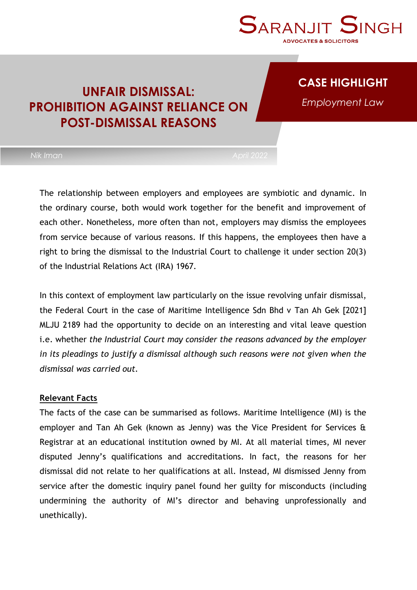

### **CASE HIGHLIGHT**

*Employment Law*

## **UNFAIR DISMISSAL: PROHIBITION AGAINST RELIANCE ON POST-DISMISSAL REASONS**

The relationship between employers and employees are symbiotic and dynamic. In the ordinary course, both would work together for the benefit and improvement of each other. Nonetheless, more often than not, employers may dismiss the employees from service because of various reasons. If this happens, the employees then have a right to bring the dismissal to the Industrial Court to challenge it under section 20(3) of the Industrial Relations Act (IRA) 1967.

In this context of employment law particularly on the issue revolving unfair dismissal, the Federal Court in the case of Maritime Intelligence Sdn Bhd v Tan Ah Gek [2021] MLJU 2189 had the opportunity to decide on an interesting and vital leave question i.e. whether *the Industrial Court may consider the reasons advanced by the employer in its pleadings to justify a dismissal although such reasons were not given when the dismissal was carried out.*

### **Relevant Facts**

The facts of the case can be summarised as follows. Maritime Intelligence (MI) is the employer and Tan Ah Gek (known as Jenny) was the Vice President for Services & Registrar at an educational institution owned by MI. At all material times, MI never disputed Jenny's qualifications and accreditations. In fact, the reasons for her dismissal did not relate to her qualifications at all. Instead, MI dismissed Jenny from service after the domestic inquiry panel found her guilty for misconducts (including undermining the authority of MI's director and behaving unprofessionally and unethically).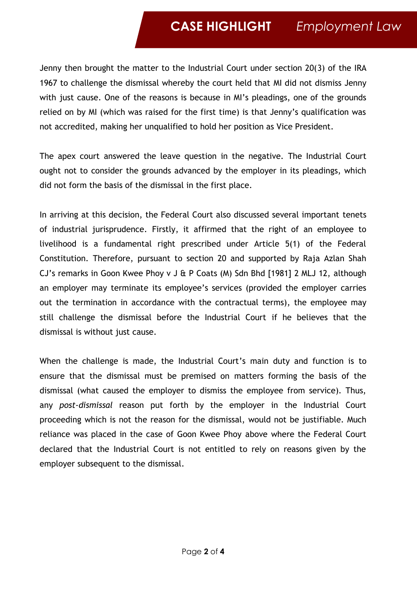# **CASE HIGHLIGHT** *Employment Law*

Jenny then brought the matter to the Industrial Court under section 20(3) of the IRA 1967 to challenge the dismissal whereby the court held that MI did not dismiss Jenny with just cause. One of the reasons is because in MI's pleadings, one of the grounds relied on by MI (which was raised for the first time) is that Jenny's qualification was not accredited, making her unqualified to hold her position as Vice President.

The apex court answered the leave question in the negative. The Industrial Court ought not to consider the grounds advanced by the employer in its pleadings, which did not form the basis of the dismissal in the first place.

In arriving at this decision, the Federal Court also discussed several important tenets of industrial jurisprudence. Firstly, it affirmed that the right of an employee to livelihood is a fundamental right prescribed under Article 5(1) of the Federal Constitution. Therefore, pursuant to section 20 and supported by Raja Azlan Shah CJ's remarks in Goon Kwee Phoy v J & P Coats (M) Sdn Bhd [1981] 2 MLJ 12, although an employer may terminate its employee's services (provided the employer carries out the termination in accordance with the contractual terms), the employee may still challenge the dismissal before the Industrial Court if he believes that the dismissal is without just cause.

When the challenge is made, the Industrial Court's main duty and function is to ensure that the dismissal must be premised on matters forming the basis of the dismissal (what caused the employer to dismiss the employee from service). Thus, any *post-dismissal* reason put forth by the employer in the Industrial Court proceeding which is not the reason for the dismissal, would not be justifiable. Much reliance was placed in the case of Goon Kwee Phoy above where the Federal Court declared that the Industrial Court is not entitled to rely on reasons given by the employer subsequent to the dismissal.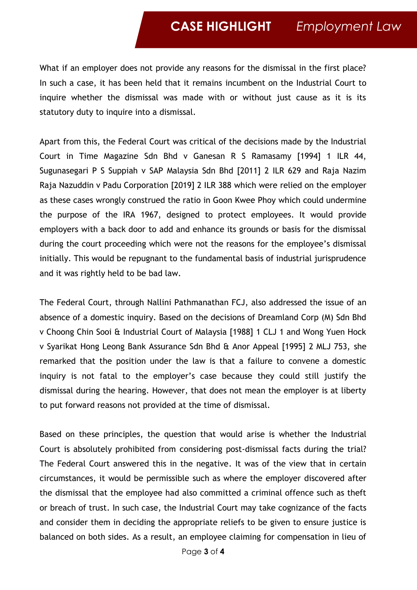## **CASE HIGHLIGHT** *Employment Law*

What if an employer does not provide any reasons for the dismissal in the first place? In such a case, it has been held that it remains incumbent on the Industrial Court to inquire whether the dismissal was made with or without just cause as it is its statutory duty to inquire into a dismissal.

Apart from this, the Federal Court was critical of the decisions made by the Industrial Court in Time Magazine Sdn Bhd v Ganesan R S Ramasamy [1994] 1 ILR 44, Sugunasegari P S Suppiah v SAP Malaysia Sdn Bhd [2011] 2 ILR 629 and Raja Nazim Raja Nazuddin v Padu Corporation [2019] 2 ILR 388 which were relied on the employer as these cases wrongly construed the ratio in Goon Kwee Phoy which could undermine the purpose of the IRA 1967, designed to protect employees. It would provide employers with a back door to add and enhance its grounds or basis for the dismissal during the court proceeding which were not the reasons for the employee's dismissal initially. This would be repugnant to the fundamental basis of industrial jurisprudence and it was rightly held to be bad law.

The Federal Court, through Nallini Pathmanathan FCJ, also addressed the issue of an absence of a domestic inquiry. Based on the decisions of Dreamland Corp (M) Sdn Bhd v Choong Chin Sooi & Industrial Court of Malaysia [1988] 1 CLJ 1 and Wong Yuen Hock v Syarikat Hong Leong Bank Assurance Sdn Bhd & Anor Appeal [1995] 2 MLJ 753, she remarked that the position under the law is that a failure to convene a domestic inquiry is not fatal to the employer's case because they could still justify the dismissal during the hearing. However, that does not mean the employer is at liberty to put forward reasons not provided at the time of dismissal.

Based on these principles, the question that would arise is whether the Industrial Court is absolutely prohibited from considering post-dismissal facts during the trial? The Federal Court answered this in the negative. It was of the view that in certain circumstances, it would be permissible such as where the employer discovered after the dismissal that the employee had also committed a criminal offence such as theft or breach of trust. In such case, the Industrial Court may take cognizance of the facts and consider them in deciding the appropriate reliefs to be given to ensure justice is balanced on both sides. As a result, an employee claiming for compensation in lieu of